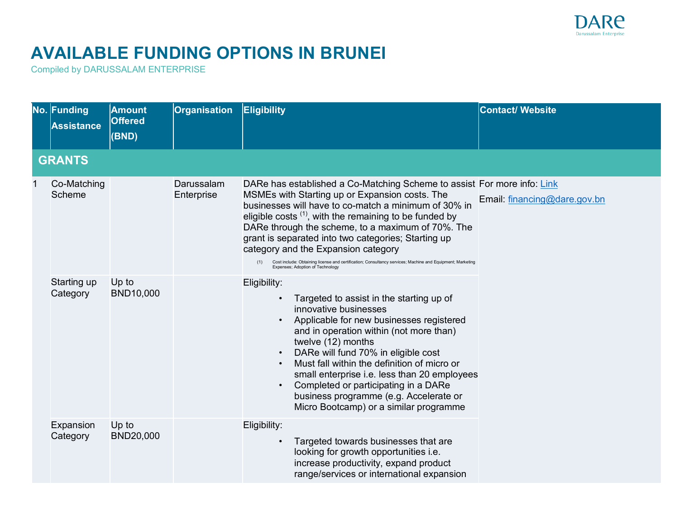

## **AVAILABLE FUNDING OPTIONS IN BRUNEI**

Compiled by DARUSSALAM ENTERPRISE

|  | No. Funding<br><b>Assistance</b> | <b>Amount</b><br><b>Offered</b><br>(BND) | <b>Organisation</b>      | Eligibility                                                                                                                                                                                                                                                                                                                                                                                                                                                                                                                                               | <b>Contact/ Website</b>      |
|--|----------------------------------|------------------------------------------|--------------------------|-----------------------------------------------------------------------------------------------------------------------------------------------------------------------------------------------------------------------------------------------------------------------------------------------------------------------------------------------------------------------------------------------------------------------------------------------------------------------------------------------------------------------------------------------------------|------------------------------|
|  | <b>GRANTS</b>                    |                                          |                          |                                                                                                                                                                                                                                                                                                                                                                                                                                                                                                                                                           |                              |
|  | Co-Matching<br>Scheme            |                                          | Darussalam<br>Enterprise | DARe has established a Co-Matching Scheme to assist For more info: Link<br>MSMEs with Starting up or Expansion costs. The<br>businesses will have to co-match a minimum of 30% in<br>eligible costs $(1)$ , with the remaining to be funded by<br>DARe through the scheme, to a maximum of 70%. The<br>grant is separated into two categories; Starting up<br>category and the Expansion category<br>Cost include: Obtaining license and certification; Consultancy services; Machine and Equipment; Marketing<br>(1)<br>Expenses; Adoption of Technology | Email: financing@dare.gov.bn |
|  | Starting up<br>Category          | Up to<br><b>BND10,000</b>                |                          | Eligibility:<br>Targeted to assist in the starting up of<br>innovative businesses<br>Applicable for new businesses registered<br>and in operation within (not more than)<br>twelve (12) months<br>DARe will fund 70% in eligible cost<br>Must fall within the definition of micro or<br>small enterprise i.e. less than 20 employees<br>Completed or participating in a DARe<br>business programme (e.g. Accelerate or<br>Micro Bootcamp) or a similar programme                                                                                          |                              |
|  | Expansion<br>Category            | Up to<br><b>BND20,000</b>                |                          | Eligibility:<br>Targeted towards businesses that are<br>looking for growth opportunities i.e.<br>increase productivity, expand product<br>range/services or international expansion                                                                                                                                                                                                                                                                                                                                                                       |                              |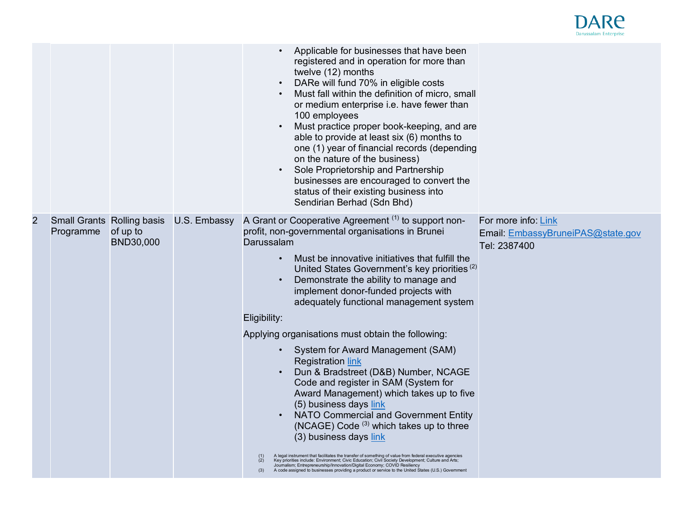

|                |                                                |                              |              | Applicable for businesses that have been<br>registered and in operation for more than<br>twelve (12) months<br>DARe will fund 70% in eligible costs<br>Must fall within the definition of micro, small<br>or medium enterprise i.e. have fewer than<br>100 employees<br>Must practice proper book-keeping, and are<br>able to provide at least six (6) months to<br>one (1) year of financial records (depending<br>on the nature of the business)<br>Sole Proprietorship and Partnership<br>businesses are encouraged to convert the<br>status of their existing business into<br>Sendirian Berhad (Sdn Bhd)                                                                                                                                                                                                                                                                                                                                                                                                                                                                                                                                                                             |                                                                          |
|----------------|------------------------------------------------|------------------------------|--------------|-------------------------------------------------------------------------------------------------------------------------------------------------------------------------------------------------------------------------------------------------------------------------------------------------------------------------------------------------------------------------------------------------------------------------------------------------------------------------------------------------------------------------------------------------------------------------------------------------------------------------------------------------------------------------------------------------------------------------------------------------------------------------------------------------------------------------------------------------------------------------------------------------------------------------------------------------------------------------------------------------------------------------------------------------------------------------------------------------------------------------------------------------------------------------------------------|--------------------------------------------------------------------------|
| $\overline{2}$ | <b>Small Grants Rolling basis</b><br>Programme | of up to<br><b>BND30,000</b> | U.S. Embassy | A Grant or Cooperative Agreement (1) to support non-<br>profit, non-governmental organisations in Brunei<br>Darussalam<br>Must be innovative initiatives that fulfill the<br>United States Government's key priorities <sup>(2)</sup><br>Demonstrate the ability to manage and<br>implement donor-funded projects with<br>adequately functional management system<br>Eligibility:<br>Applying organisations must obtain the following:<br>System for Award Management (SAM)<br><b>Registration link</b><br>Dun & Bradstreet (D&B) Number, NCAGE<br>Code and register in SAM (System for<br>Award Management) which takes up to five<br>(5) business days link<br>NATO Commercial and Government Entity<br>(NCAGE) Code $(3)$ which takes up to three<br>(3) business days link<br>A legal instrument that facilitates the transfer of something of value from federal executive agencies<br>Key priorities include: Environment; Civic Education; Civil Society Development; Culture and Arts;<br>Journalism; Entrepreneurship/Innovation/Digital Economy; COVID Resiliency<br>A code assigned to businesses providing a product or service to the United States (U.S.) Government<br>(3) | For more info: Link<br>Email: EmbassyBruneiPAS@state.gov<br>Tel: 2387400 |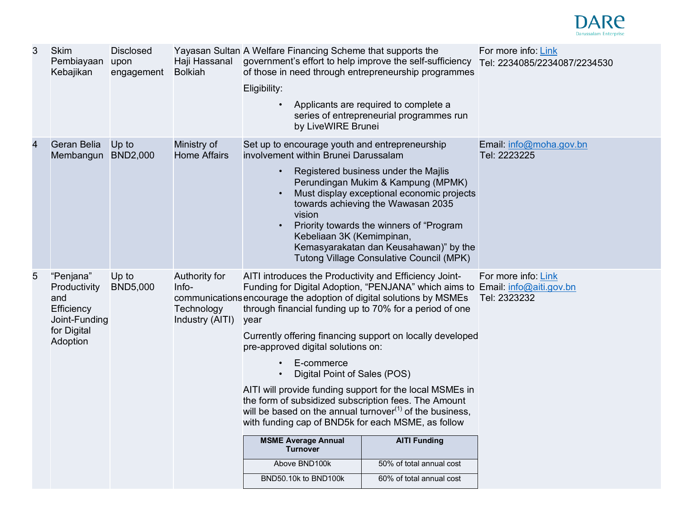

| 3              | <b>Skim</b><br>Pembiayaan<br>Kebajikan                                                     | <b>Disclosed</b><br>upon<br>engagement | Haji Hassanal<br><b>Bolkiah</b>                         | Yayasan Sultan A Welfare Financing Scheme that supports the<br>government's effort to help improve the self-sufficiency<br>of those in need through entrepreneurship programmes<br>Eligibility:<br>by LiveWIRE Brunei                                                                                                                                                                                                                                                                                                                                                                                                                                                                                                        | Applicants are required to complete a<br>series of entrepreneurial programmes run                                                                                                                                                                                                                        | For more info: Link<br>Tel: 2234085/2234087/2234530 |
|----------------|--------------------------------------------------------------------------------------------|----------------------------------------|---------------------------------------------------------|------------------------------------------------------------------------------------------------------------------------------------------------------------------------------------------------------------------------------------------------------------------------------------------------------------------------------------------------------------------------------------------------------------------------------------------------------------------------------------------------------------------------------------------------------------------------------------------------------------------------------------------------------------------------------------------------------------------------------|----------------------------------------------------------------------------------------------------------------------------------------------------------------------------------------------------------------------------------------------------------------------------------------------------------|-----------------------------------------------------|
| $\overline{4}$ | Geran Belia<br>Membangun                                                                   | Up to<br><b>BND2,000</b>               | Ministry of<br><b>Home Affairs</b>                      | Set up to encourage youth and entrepreneurship<br>involvement within Brunei Darussalam<br>$\bullet$<br>vision<br>Kebeliaan 3K (Kemimpinan,                                                                                                                                                                                                                                                                                                                                                                                                                                                                                                                                                                                   | Registered business under the Majlis<br>Perundingan Mukim & Kampung (MPMK)<br>Must display exceptional economic projects<br>towards achieving the Wawasan 2035<br>Priority towards the winners of "Program"<br>Kemasyarakatan dan Keusahawan)" by the<br><b>Tutong Village Consulative Council (MPK)</b> | Email: info@moha.gov.bn<br>Tel: 2223225             |
| 5              | "Penjana"<br>Productivity<br>and<br>Efficiency<br>Joint-Funding<br>for Digital<br>Adoption | Up to<br><b>BND5,000</b>               | Authority for<br>Info-<br>Technology<br>Industry (AITI) | AITI introduces the Productivity and Efficiency Joint-<br>Funding for Digital Adoption, "PENJANA" which aims to Email: info@aiti.gov.bn<br>communications encourage the adoption of digital solutions by MSMEs<br>through financial funding up to 70% for a period of one<br>year<br>Currently offering financing support on locally developed<br>pre-approved digital solutions on:<br>E-commerce<br>Digital Point of Sales (POS)<br>AITI will provide funding support for the local MSMEs in<br>the form of subsidized subscription fees. The Amount<br>will be based on the annual turnover $(1)$ of the business,<br>with funding cap of BND5k for each MSME, as follow<br><b>MSME Average Annual</b><br><b>Turnover</b> | <b>AITI Funding</b>                                                                                                                                                                                                                                                                                      | For more info: Link<br>Tel: 2323232                 |
|                |                                                                                            |                                        |                                                         | Above BND100k                                                                                                                                                                                                                                                                                                                                                                                                                                                                                                                                                                                                                                                                                                                | 50% of total annual cost                                                                                                                                                                                                                                                                                 |                                                     |
|                |                                                                                            |                                        |                                                         | BND50.10k to BND100k                                                                                                                                                                                                                                                                                                                                                                                                                                                                                                                                                                                                                                                                                                         | 60% of total annual cost                                                                                                                                                                                                                                                                                 |                                                     |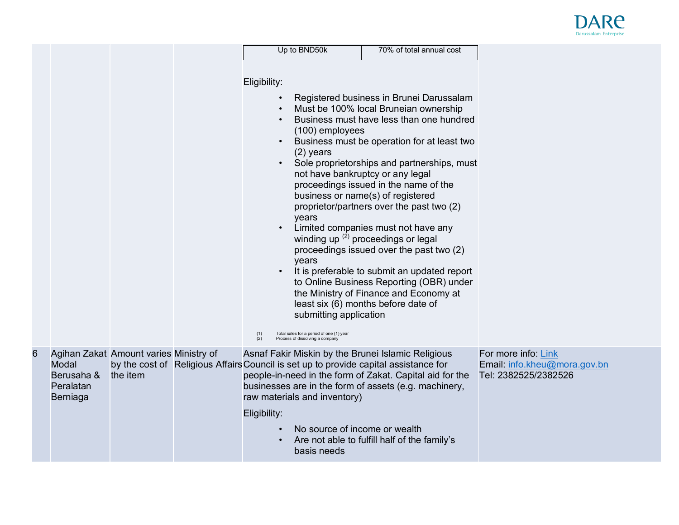

|   |                                              |                                                    | Eligibility:<br>$\bullet$<br>(1)<br>(2) | Up to BND50k<br>(100) employees<br>$(2)$ years<br>not have bankruptcy or any legal<br>years<br>years<br>submitting application<br>Total sales for a period of one (1) year<br>Process of dissolving a company | 70% of total annual cost<br>Registered business in Brunei Darussalam<br>Must be 100% local Bruneian ownership<br>Business must have less than one hundred<br>Business must be operation for at least two<br>Sole proprietorships and partnerships, must<br>proceedings issued in the name of the<br>business or name(s) of registered<br>proprietor/partners over the past two (2)<br>Limited companies must not have any<br>winding up $(2)$ proceedings or legal<br>proceedings issued over the past two (2)<br>It is preferable to submit an updated report<br>to Online Business Reporting (OBR) under<br>the Ministry of Finance and Economy at<br>least six (6) months before date of |                                                                             |  |
|---|----------------------------------------------|----------------------------------------------------|-----------------------------------------|---------------------------------------------------------------------------------------------------------------------------------------------------------------------------------------------------------------|---------------------------------------------------------------------------------------------------------------------------------------------------------------------------------------------------------------------------------------------------------------------------------------------------------------------------------------------------------------------------------------------------------------------------------------------------------------------------------------------------------------------------------------------------------------------------------------------------------------------------------------------------------------------------------------------|-----------------------------------------------------------------------------|--|
| 6 | Modal<br>Berusaha &<br>Peralatan<br>Berniaga | Agihan Zakat Amount varies Ministry of<br>the item | Eligibility:                            | raw materials and inventory)<br>No source of income or wealth<br>basis needs                                                                                                                                  | Asnaf Fakir Miskin by the Brunei Islamic Religious<br>by the cost of Religious Affairs Council is set up to provide capital assistance for<br>people-in-need in the form of Zakat. Capital aid for the<br>businesses are in the form of assets (e.g. machinery,<br>Are not able to fulfill half of the family's                                                                                                                                                                                                                                                                                                                                                                             | For more info: Link<br>Email: info.kheu@mora.gov.bn<br>Tel: 2382525/2382526 |  |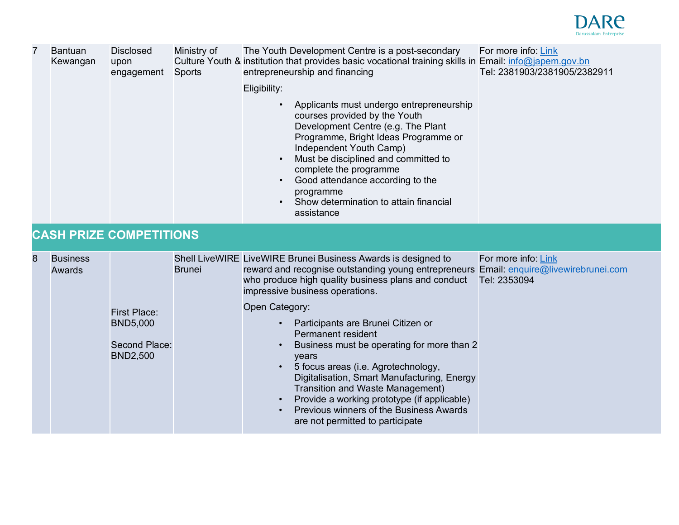

| 7 | <b>Bantuan</b><br>Kewangan | <b>Disclosed</b><br>upon<br>engagement                                     | Ministry of<br><b>Sports</b> | The Youth Development Centre is a post-secondary<br>Culture Youth & institution that provides basic vocational training skills in Email: info@japem.gov.bn<br>entrepreneurship and financing<br>Eligibility:<br>Applicants must undergo entrepreneurship<br>courses provided by the Youth<br>Development Centre (e.g. The Plant<br>Programme, Bright Ideas Programme or<br>Independent Youth Camp)<br>Must be disciplined and committed to<br>complete the programme<br>Good attendance according to the<br>programme<br>Show determination to attain financial<br>assistance                                                                  | For more info: Link<br>Tel: 2381903/2381905/2382911 |
|---|----------------------------|----------------------------------------------------------------------------|------------------------------|------------------------------------------------------------------------------------------------------------------------------------------------------------------------------------------------------------------------------------------------------------------------------------------------------------------------------------------------------------------------------------------------------------------------------------------------------------------------------------------------------------------------------------------------------------------------------------------------------------------------------------------------|-----------------------------------------------------|
|   |                            | <b>CASH PRIZE COMPETITIONS</b>                                             |                              |                                                                                                                                                                                                                                                                                                                                                                                                                                                                                                                                                                                                                                                |                                                     |
| 8 | <b>Business</b><br>Awards  | <b>First Place:</b><br><b>BND5,000</b><br>Second Place:<br><b>BND2,500</b> | <b>Brunei</b>                | Shell LiveWIRE LiveWIRE Brunei Business Awards is designed to<br>reward and recognise outstanding young entrepreneurs Email: enquire@livewirebrunei.com<br>who produce high quality business plans and conduct<br>impressive business operations.<br>Open Category:<br>Participants are Brunei Citizen or<br>Permanent resident<br>Business must be operating for more than 2<br>years<br>5 focus areas (i.e. Agrotechnology,<br>Digitalisation, Smart Manufacturing, Energy<br>Transition and Waste Management)<br>Provide a working prototype (if applicable)<br>Previous winners of the Business Awards<br>are not permitted to participate | For more info: Link<br>Tel: 2353094                 |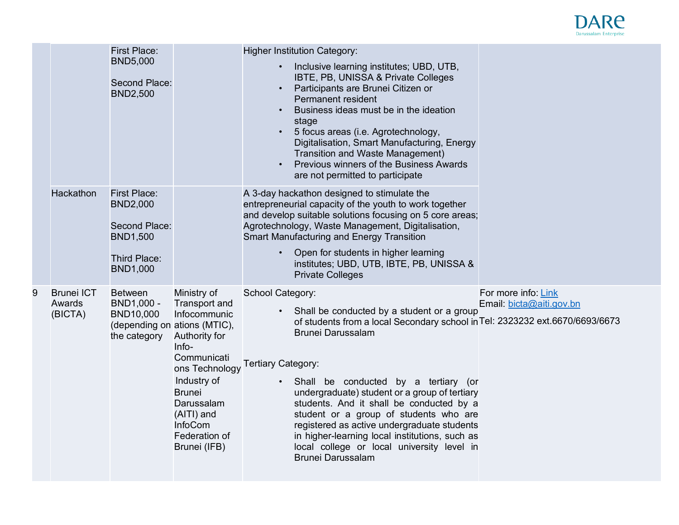

|   | Hackathon                              | <b>First Place:</b><br><b>BND5,000</b><br>Second Place:<br><b>BND2,500</b><br><b>First Place:</b><br><b>BND2,000</b><br>Second Place:<br><b>BND1,500</b><br>Third Place:<br><b>BND1,000</b> |                                                                                                                                                                                                                                                               | <b>Higher Institution Category:</b><br>Inclusive learning institutes; UBD, UTB,<br>$\bullet$<br>IBTE, PB, UNISSA & Private Colleges<br>Participants are Brunei Citizen or<br>Permanent resident<br>Business ideas must be in the ideation<br>stage<br>5 focus areas (i.e. Agrotechnology,<br>Digitalisation, Smart Manufacturing, Energy<br>Transition and Waste Management)<br>Previous winners of the Business Awards<br>$\bullet$<br>are not permitted to participate<br>A 3-day hackathon designed to stimulate the<br>entrepreneurial capacity of the youth to work together<br>and develop suitable solutions focusing on 5 core areas;<br>Agrotechnology, Waste Management, Digitalisation,<br>Smart Manufacturing and Energy Transition<br>Open for students in higher learning<br>institutes; UBD, UTB, IBTE, PB, UNISSA &<br><b>Private Colleges</b> |                                                 |
|---|----------------------------------------|---------------------------------------------------------------------------------------------------------------------------------------------------------------------------------------------|---------------------------------------------------------------------------------------------------------------------------------------------------------------------------------------------------------------------------------------------------------------|----------------------------------------------------------------------------------------------------------------------------------------------------------------------------------------------------------------------------------------------------------------------------------------------------------------------------------------------------------------------------------------------------------------------------------------------------------------------------------------------------------------------------------------------------------------------------------------------------------------------------------------------------------------------------------------------------------------------------------------------------------------------------------------------------------------------------------------------------------------|-------------------------------------------------|
| 9 | <b>Brunei ICT</b><br>Awards<br>(BICTA) | <b>Between</b><br>BND1,000 -<br>BND10,000<br>the category                                                                                                                                   | Ministry of<br><b>Transport and</b><br>Infocommunic<br>(depending on ations (MTIC),<br>Authority for<br>Info-<br>Communicati<br>ons Technology<br>Industry of<br><b>Brunei</b><br>Darussalam<br>(AITI) and<br><b>InfoCom</b><br>Federation of<br>Brunei (IFB) | School Category:<br>• Shall be conducted by a student or a group<br>of students from a local Secondary school in Tel: 2323232 ext.6670/6693/6673<br><b>Brunei Darussalam</b><br><b>Tertiary Category:</b><br>· Shall be conducted by a tertiary (or<br>undergraduate) student or a group of tertiary<br>students. And it shall be conducted by a<br>student or a group of students who are<br>registered as active undergraduate students<br>in higher-learning local institutions, such as<br>local college or local university level in<br><b>Brunei Darussalam</b>                                                                                                                                                                                                                                                                                          | For more info: Link<br>Email: bicta@aiti.gov.bn |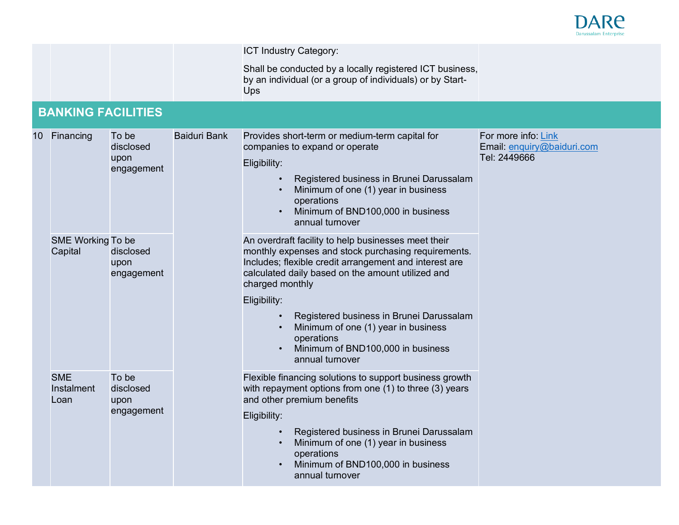

|  |                                  |                                          |                     | ICT Industry Category:                                                                                                                                                                                                                                                                                                                                                                                                |                                                                   |
|--|----------------------------------|------------------------------------------|---------------------|-----------------------------------------------------------------------------------------------------------------------------------------------------------------------------------------------------------------------------------------------------------------------------------------------------------------------------------------------------------------------------------------------------------------------|-------------------------------------------------------------------|
|  |                                  |                                          |                     | Shall be conducted by a locally registered ICT business,<br>by an individual (or a group of individuals) or by Start-<br><b>Ups</b>                                                                                                                                                                                                                                                                                   |                                                                   |
|  | <b>BANKING FACILITIES</b>        |                                          |                     |                                                                                                                                                                                                                                                                                                                                                                                                                       |                                                                   |
|  | 10 Financing                     | To be<br>disclosed<br>upon<br>engagement | <b>Baiduri Bank</b> | Provides short-term or medium-term capital for<br>companies to expand or operate<br>Eligibility:<br>Registered business in Brunei Darussalam<br>Minimum of one (1) year in business<br>operations<br>Minimum of BND100,000 in business<br>$\bullet$<br>annual turnover                                                                                                                                                | For more info: Link<br>Email: enquiry@baiduri.com<br>Tel: 2449666 |
|  | SME Working To be<br>Capital     | disclosed<br>upon<br>engagement          |                     | An overdraft facility to help businesses meet their<br>monthly expenses and stock purchasing requirements.<br>Includes; flexible credit arrangement and interest are<br>calculated daily based on the amount utilized and<br>charged monthly<br>Eligibility:<br>Registered business in Brunei Darussalam<br>Minimum of one (1) year in business<br>operations<br>Minimum of BND100,000 in business<br>annual turnover |                                                                   |
|  | <b>SME</b><br>Instalment<br>Loan | To be<br>disclosed<br>upon<br>engagement |                     | Flexible financing solutions to support business growth<br>with repayment options from one (1) to three (3) years<br>and other premium benefits<br>Eligibility:<br>Registered business in Brunei Darussalam<br>Minimum of one (1) year in business<br>operations<br>Minimum of BND100,000 in business<br>annual turnover                                                                                              |                                                                   |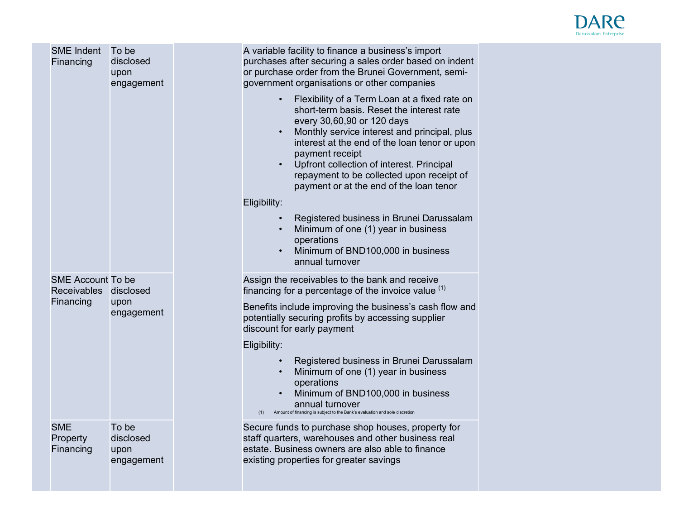

| <b>SME Indent</b><br>Financing                                 | To be<br>disclosed<br>upon<br>engagement | A variable facility to finance a business's import<br>purchases after securing a sales order based on indent<br>or purchase order from the Brunei Government, semi-<br>government organisations or other companies<br>Flexibility of a Term Loan at a fixed rate on<br>short-term basis. Reset the interest rate<br>every 30,60,90 or 120 days<br>Monthly service interest and principal, plus<br>interest at the end of the loan tenor or upon<br>payment receipt<br>Upfront collection of interest. Principal<br>repayment to be collected upon receipt of<br>payment or at the end of the loan tenor<br>Eligibility:<br>Registered business in Brunei Darussalam<br>Minimum of one (1) year in business<br>operations<br>Minimum of BND100,000 in business<br>annual turnover |
|----------------------------------------------------------------|------------------------------------------|----------------------------------------------------------------------------------------------------------------------------------------------------------------------------------------------------------------------------------------------------------------------------------------------------------------------------------------------------------------------------------------------------------------------------------------------------------------------------------------------------------------------------------------------------------------------------------------------------------------------------------------------------------------------------------------------------------------------------------------------------------------------------------|
| <b>SME Account To be</b><br>Receivables disclosed<br>Financing | upon<br>engagement                       | Assign the receivables to the bank and receive<br>financing for a percentage of the invoice value $(1)$<br>Benefits include improving the business's cash flow and<br>potentially securing profits by accessing supplier<br>discount for early payment                                                                                                                                                                                                                                                                                                                                                                                                                                                                                                                           |
|                                                                |                                          | Eligibility:<br>Registered business in Brunei Darussalam<br>Minimum of one (1) year in business<br>operations<br>Minimum of BND100,000 in business<br>annual turnover<br>Amount of financing is subject to the Bank's evaluation and sole discretion<br>(1)                                                                                                                                                                                                                                                                                                                                                                                                                                                                                                                      |
| <b>SME</b><br>Property<br>Financing                            | To be<br>disclosed<br>upon<br>engagement | Secure funds to purchase shop houses, property for<br>staff quarters, warehouses and other business real<br>estate. Business owners are also able to finance<br>existing properties for greater savings                                                                                                                                                                                                                                                                                                                                                                                                                                                                                                                                                                          |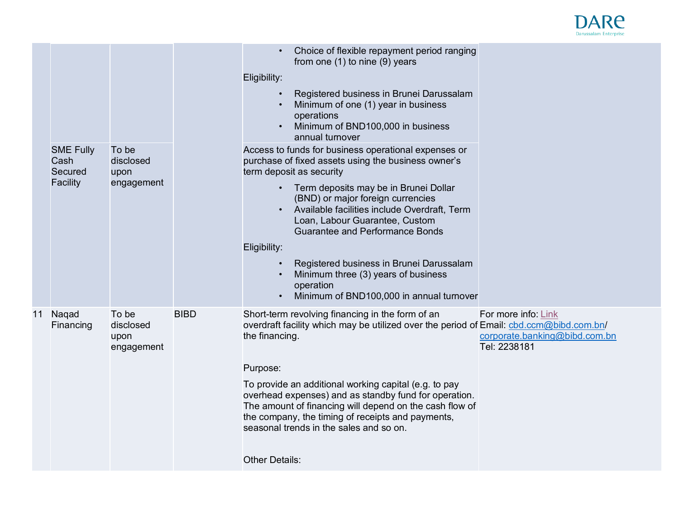

|    | <b>SME Fully</b>            | To be                                    |             | Choice of flexible repayment period ranging<br>from one (1) to nine (9) years<br>Eligibility:<br>Registered business in Brunei Darussalam<br>Minimum of one (1) year in business<br>operations<br>Minimum of BND100,000 in business<br>annual turnover<br>Access to funds for business operational expenses or                                                                                                                                                                  |                                                                      |
|----|-----------------------------|------------------------------------------|-------------|---------------------------------------------------------------------------------------------------------------------------------------------------------------------------------------------------------------------------------------------------------------------------------------------------------------------------------------------------------------------------------------------------------------------------------------------------------------------------------|----------------------------------------------------------------------|
|    | Cash<br>Secured<br>Facility | disclosed<br>upon<br>engagement          |             | purchase of fixed assets using the business owner's<br>term deposit as security<br>Term deposits may be in Brunei Dollar<br>(BND) or major foreign currencies<br>Available facilities include Overdraft, Term<br>Loan, Labour Guarantee, Custom<br><b>Guarantee and Performance Bonds</b><br>Eligibility:<br>Registered business in Brunei Darussalam<br>Minimum three (3) years of business<br>operation<br>Minimum of BND100,000 in annual turnover                           |                                                                      |
| 11 | Nagad<br>Financing          | To be<br>disclosed<br>upon<br>engagement | <b>BIBD</b> | Short-term revolving financing in the form of an<br>overdraft facility which may be utilized over the period of Email: cbd.ccm@bibd.com.bn/<br>the financing.<br>Purpose:<br>To provide an additional working capital (e.g. to pay<br>overhead expenses) and as standby fund for operation.<br>The amount of financing will depend on the cash flow of<br>the company, the timing of receipts and payments,<br>seasonal trends in the sales and so on.<br><b>Other Details:</b> | For more info: Link<br>corporate.banking@bibd.com.bn<br>Tel: 2238181 |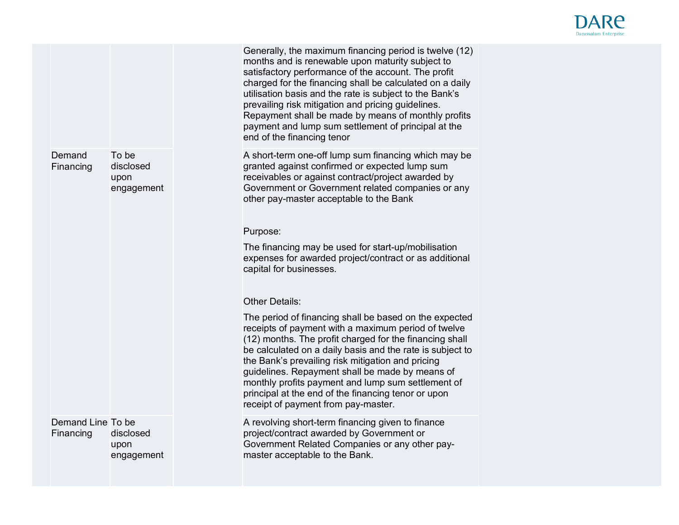

|                                |                                          | Generally, the maximum financing period is twelve (12)<br>months and is renewable upon maturity subject to<br>satisfactory performance of the account. The profit<br>charged for the financing shall be calculated on a daily<br>utilisation basis and the rate is subject to the Bank's<br>prevailing risk mitigation and pricing guidelines.<br>Repayment shall be made by means of monthly profits<br>payment and lump sum settlement of principal at the<br>end of the financing tenor        |  |
|--------------------------------|------------------------------------------|---------------------------------------------------------------------------------------------------------------------------------------------------------------------------------------------------------------------------------------------------------------------------------------------------------------------------------------------------------------------------------------------------------------------------------------------------------------------------------------------------|--|
| Demand<br>Financing            | To be<br>disclosed<br>upon<br>engagement | A short-term one-off lump sum financing which may be<br>granted against confirmed or expected lump sum<br>receivables or against contract/project awarded by<br>Government or Government related companies or any<br>other pay-master acceptable to the Bank                                                                                                                                                                                                                                      |  |
|                                |                                          | Purpose:                                                                                                                                                                                                                                                                                                                                                                                                                                                                                          |  |
|                                |                                          | The financing may be used for start-up/mobilisation<br>expenses for awarded project/contract or as additional<br>capital for businesses.                                                                                                                                                                                                                                                                                                                                                          |  |
|                                |                                          | <b>Other Details:</b>                                                                                                                                                                                                                                                                                                                                                                                                                                                                             |  |
|                                |                                          | The period of financing shall be based on the expected<br>receipts of payment with a maximum period of twelve<br>(12) months. The profit charged for the financing shall<br>be calculated on a daily basis and the rate is subject to<br>the Bank's prevailing risk mitigation and pricing<br>guidelines. Repayment shall be made by means of<br>monthly profits payment and lump sum settlement of<br>principal at the end of the financing tenor or upon<br>receipt of payment from pay-master. |  |
| Demand Line To be<br>Financing | disclosed<br>upon<br>engagement          | A revolving short-term financing given to finance<br>project/contract awarded by Government or<br>Government Related Companies or any other pay-<br>master acceptable to the Bank.                                                                                                                                                                                                                                                                                                                |  |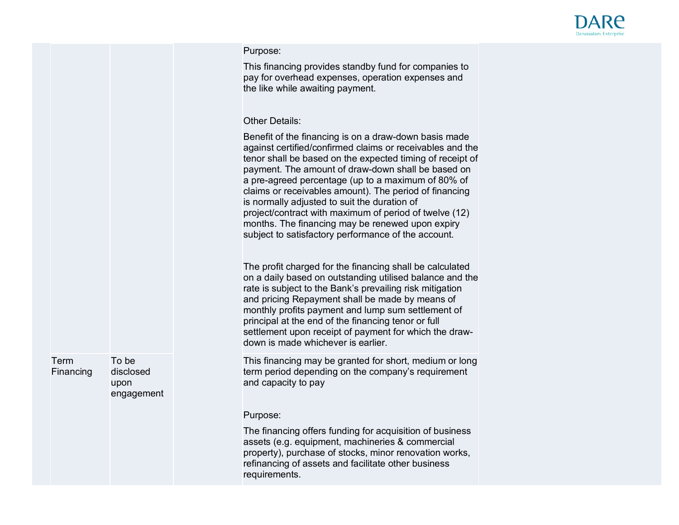

## Purpose:

This financing provides standby fund for companies to pay for overhead expenses, operation expenses and the like while awaiting payment.

## Other Details:

Benefit of the financing is on a draw-down basis made against certified/confirmed claims or receivables and the tenor shall be based on the expected timing of receipt of payment. The amount of draw-down shall be based on a pre-agreed percentage (up to a maximum of 80% of claims or receivables amount). The period of financing is normally adjusted to suit the duration of project/contract with maximum of period of twelve (12) months. The financing may be renewed upon expiry subject to satisfactory performance of the account.

The profit charged for the financing shall be calculated on a daily based on outstanding utilised balance and the rate is subject to the Bank's prevailing risk mitigation and pricing Repayment shall be made by means of monthly profits payment and lump sum settlement of principal at the end of the financing tenor or full settlement upon receipt of payment for which the drawdown is made whichever is earlier.

This financing may be granted for short, medium or long term period depending on the company's requirement and capacity to pay

## Purpose:

The financing offers funding for acquisition of business assets (e.g. equipment, machineries & commercial property), purchase of stocks, minor renovation works, refinancing of assets and facilitate other business requirements.

Term Financing To be disclosed upon engagement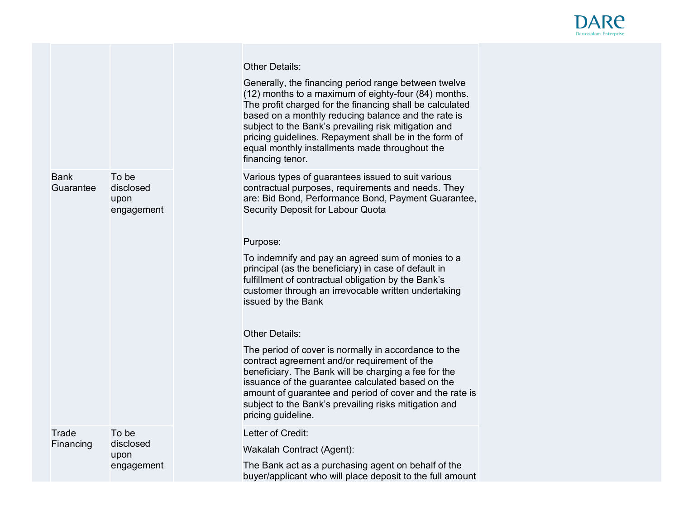

|                          |                                          | <b>Other Details:</b>                                                                                                                                                                                                                                                                                                                                                                                                  |
|--------------------------|------------------------------------------|------------------------------------------------------------------------------------------------------------------------------------------------------------------------------------------------------------------------------------------------------------------------------------------------------------------------------------------------------------------------------------------------------------------------|
|                          |                                          | Generally, the financing period range between twelve<br>(12) months to a maximum of eighty-four (84) months.<br>The profit charged for the financing shall be calculated<br>based on a monthly reducing balance and the rate is<br>subject to the Bank's prevailing risk mitigation and<br>pricing guidelines. Repayment shall be in the form of<br>equal monthly installments made throughout the<br>financing tenor. |
| <b>Bank</b><br>Guarantee | To be<br>disclosed<br>upon<br>engagement | Various types of guarantees issued to suit various<br>contractual purposes, requirements and needs. They<br>are: Bid Bond, Performance Bond, Payment Guarantee,<br>Security Deposit for Labour Quota                                                                                                                                                                                                                   |
|                          |                                          | Purpose:                                                                                                                                                                                                                                                                                                                                                                                                               |
|                          |                                          | To indemnify and pay an agreed sum of monies to a<br>principal (as the beneficiary) in case of default in<br>fulfillment of contractual obligation by the Bank's<br>customer through an irrevocable written undertaking<br>issued by the Bank                                                                                                                                                                          |
|                          |                                          | <b>Other Details:</b>                                                                                                                                                                                                                                                                                                                                                                                                  |
|                          |                                          | The period of cover is normally in accordance to the<br>contract agreement and/or requirement of the<br>beneficiary. The Bank will be charging a fee for the<br>issuance of the guarantee calculated based on the<br>amount of guarantee and period of cover and the rate is<br>subject to the Bank's prevailing risks mitigation and<br>pricing guideline.                                                            |
| Trade                    | To be                                    | Letter of Credit:                                                                                                                                                                                                                                                                                                                                                                                                      |
| Financing                | disclosed<br>upon                        | Wakalah Contract (Agent):                                                                                                                                                                                                                                                                                                                                                                                              |
|                          | engagement                               | The Bank act as a purchasing agent on behalf of the<br>buyer/applicant who will place deposit to the full amount                                                                                                                                                                                                                                                                                                       |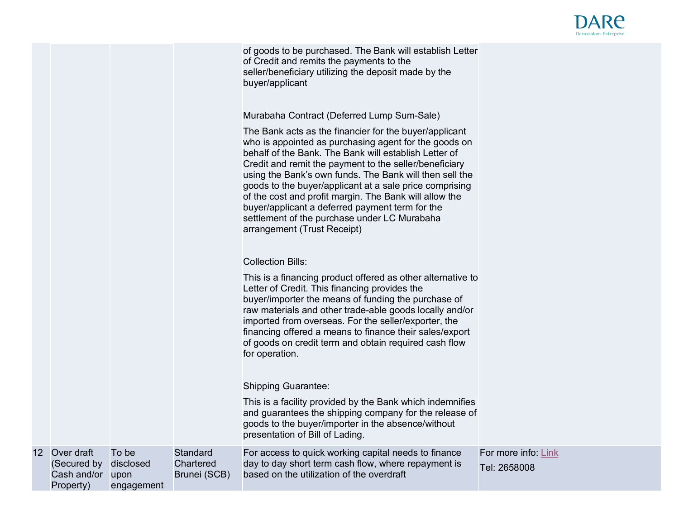

of goods to be purchased. The Bank will establish Letter of Credit and remits the payments to the seller/beneficiary utilizing the deposit made by the buyer/applicant

Murabaha Contract (Deferred Lump Sum-Sale)

The Bank acts as the financier for the buyer/applicant who is appointed as purchasing agent for the goods on behalf of the Bank. The Bank will establish Letter of Credit and remit the payment to the seller/beneficiary using the Bank's own funds. The Bank will then sell the goods to the buyer/applicant at a sale price comprising of the cost and profit margin. The Bank will allow the buyer/applicant a deferred payment term for the settlement of the purchase under LC Murabaha arrangement (Trust Receipt)

|    |                                                       |                                          |                                              | <b>Collection Bills:</b>                                                                                                                                                                                                                                                                                                                                                                                                     |                                     |
|----|-------------------------------------------------------|------------------------------------------|----------------------------------------------|------------------------------------------------------------------------------------------------------------------------------------------------------------------------------------------------------------------------------------------------------------------------------------------------------------------------------------------------------------------------------------------------------------------------------|-------------------------------------|
|    |                                                       |                                          |                                              | This is a financing product offered as other alternative to<br>Letter of Credit. This financing provides the<br>buyer/importer the means of funding the purchase of<br>raw materials and other trade-able goods locally and/or<br>imported from overseas. For the seller/exporter, the<br>financing offered a means to finance their sales/export<br>of goods on credit term and obtain required cash flow<br>for operation. |                                     |
|    |                                                       |                                          |                                              | <b>Shipping Guarantee:</b>                                                                                                                                                                                                                                                                                                                                                                                                   |                                     |
|    |                                                       |                                          |                                              | This is a facility provided by the Bank which indemnifies<br>and guarantees the shipping company for the release of<br>goods to the buyer/importer in the absence/without<br>presentation of Bill of Lading.                                                                                                                                                                                                                 |                                     |
| 12 | Over draft<br>(Secured by<br>Cash and/or<br>Property) | To be<br>disclosed<br>upon<br>engagement | <b>Standard</b><br>Chartered<br>Brunei (SCB) | For access to quick working capital needs to finance<br>day to day short term cash flow, where repayment is<br>based on the utilization of the overdraft                                                                                                                                                                                                                                                                     | For more info: Link<br>Tel: 2658008 |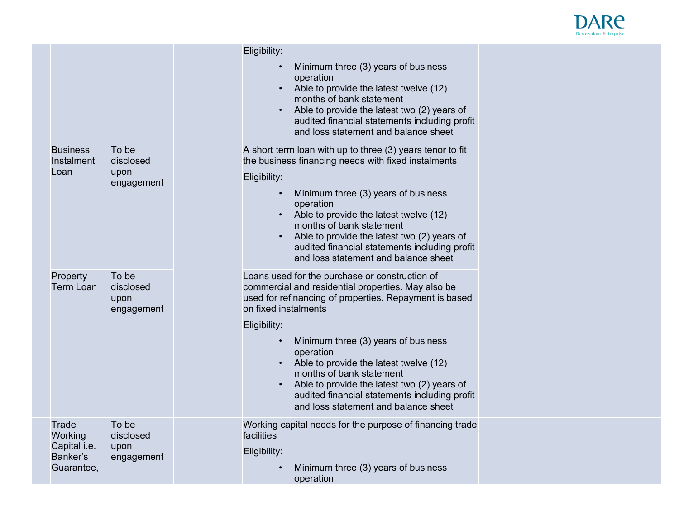

|                                                            |                                          | Eligibility:<br>Minimum three (3) years of business<br>operation<br>Able to provide the latest twelve (12)<br>months of bank statement<br>Able to provide the latest two (2) years of<br>audited financial statements including profit<br>and loss statement and balance sheet                                                                                                                                                                                           |
|------------------------------------------------------------|------------------------------------------|--------------------------------------------------------------------------------------------------------------------------------------------------------------------------------------------------------------------------------------------------------------------------------------------------------------------------------------------------------------------------------------------------------------------------------------------------------------------------|
| <b>Business</b><br>Instalment<br>Loan                      | To be<br>disclosed<br>upon<br>engagement | A short term loan with up to three (3) years tenor to fit<br>the business financing needs with fixed instalments<br>Eligibility:<br>Minimum three (3) years of business<br>operation<br>Able to provide the latest twelve (12)<br>months of bank statement<br>Able to provide the latest two (2) years of<br>audited financial statements including profit<br>and loss statement and balance sheet                                                                       |
| Property<br><b>Term Loan</b>                               | To be<br>disclosed<br>upon<br>engagement | Loans used for the purchase or construction of<br>commercial and residential properties. May also be<br>used for refinancing of properties. Repayment is based<br>on fixed instalments<br>Eligibility:<br>Minimum three (3) years of business<br>operation<br>Able to provide the latest twelve (12)<br>months of bank statement<br>Able to provide the latest two (2) years of<br>audited financial statements including profit<br>and loss statement and balance sheet |
| Trade<br>Working<br>Capital i.e.<br>Banker's<br>Guarantee, | To be<br>disclosed<br>upon<br>engagement | Working capital needs for the purpose of financing trade<br>facilities<br>Eligibility:<br>Minimum three (3) years of business<br>operation                                                                                                                                                                                                                                                                                                                               |